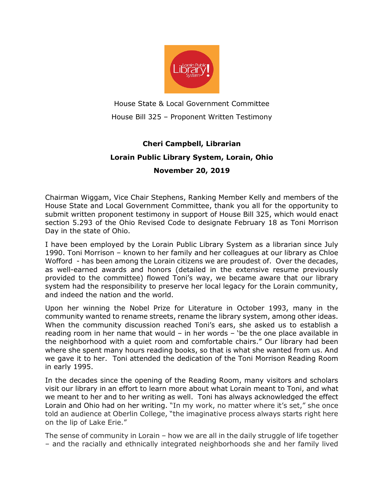

House State & Local Government Committee House Bill 325 – Proponent Written Testimony

## Cheri Campbell, Librarian Lorain Public Library System, Lorain, Ohio November 20, 2019

Chairman Wiggam, Vice Chair Stephens, Ranking Member Kelly and members of the House State and Local Government Committee, thank you all for the opportunity to submit written proponent testimony in support of House Bill 325, which would enact section 5.293 of the Ohio Revised Code to designate February 18 as Toni Morrison Day in the state of Ohio.

I have been employed by the Lorain Public Library System as a librarian since July 1990. Toni Morrison – known to her family and her colleagues at our library as Chloe Wofford - has been among the Lorain citizens we are proudest of. Over the decades, as well-earned awards and honors (detailed in the extensive resume previously provided to the committee) flowed Toni's way, we became aware that our library system had the responsibility to preserve her local legacy for the Lorain community, and indeed the nation and the world.

Upon her winning the Nobel Prize for Literature in October 1993, many in the community wanted to rename streets, rename the library system, among other ideas. When the community discussion reached Toni's ears, she asked us to establish a reading room in her name that would – in her words – 'be the one place available in the neighborhood with a quiet room and comfortable chairs." Our library had been where she spent many hours reading books, so that is what she wanted from us. And we gave it to her. Toni attended the dedication of the Toni Morrison Reading Room in early 1995.

In the decades since the opening of the Reading Room, many visitors and scholars visit our library in an effort to learn more about what Lorain meant to Toni, and what we meant to her and to her writing as well. Toni has always acknowledged the effect Lorain and Ohio had on her writing. "In my work, no matter where it's set," she once told an audience at Oberlin College, "the imaginative process always starts right here on the lip of Lake Erie."

The sense of community in Lorain – how we are all in the daily struggle of life together – and the racially and ethnically integrated neighborhoods she and her family lived